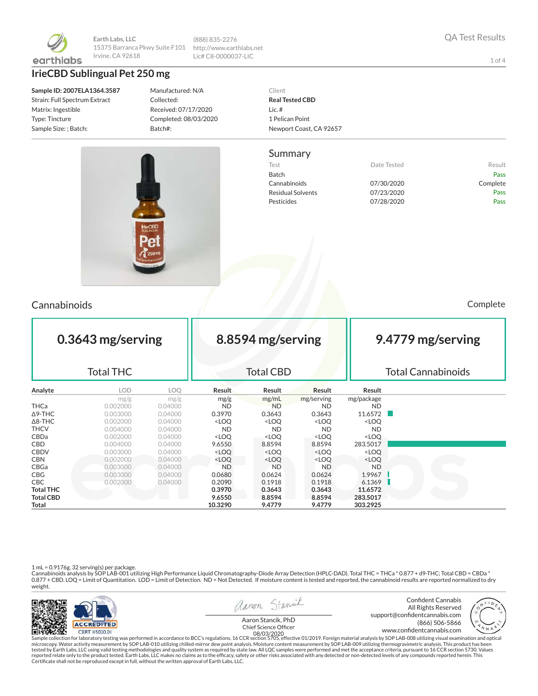

**Earth Labs, LLC** 15375 Barranca Pkwy Suite F101 Irvine, CA 92618

**IrieCBD Sublingual Pet 250 mg**

**Sample ID: 2007ELA1364.3587** Strain: Full Spectrum Extract Matrix: Ingestible Type: Tincture Sample Size: ; Batch:

Manufactured: N/A Collected: Received: 07/17/2020 Completed: 08/03/2020 Batch#:

(888) 835-2276 http://www.earthlabs.net Lic# C8-0000037-LIC

> Client **Real Tested CBD** Lic. # 1 Pelican Point Newport Coast, CA 92657

#### Summary

Test **Test Result** Date Tested **Result** Batch Pass Cannabinoids 07/30/2020 Complete Residual Solvents 07/23/2020 Pass Pesticides **Data Pass** 07/28/2020 **Pass** 



## Cannabinoids Complete

| 0.3643 mg/serving<br><b>Total THC</b> |            |         | 8.8594 mg/serving<br><b>Total CBD</b>                                                                            |                                                                                      |                                                          |                              | 9.4779 mg/serving<br><b>Total Cannabinoids</b> |  |  |
|---------------------------------------|------------|---------|------------------------------------------------------------------------------------------------------------------|--------------------------------------------------------------------------------------|----------------------------------------------------------|------------------------------|------------------------------------------------|--|--|
| Analyte                               | <b>LOD</b> | LOQ     | <b>Result</b>                                                                                                    | <b>Result</b>                                                                        | Result                                                   | Result                       |                                                |  |  |
|                                       | mg/g       | mg/g    | mg/g                                                                                                             | mg/mL                                                                                | mg/serving                                               | mg/package                   |                                                |  |  |
| <b>THCa</b>                           | 0.002000   | 0.04000 | <b>ND</b>                                                                                                        | <b>ND</b>                                                                            | <b>ND</b>                                                | ND.                          |                                                |  |  |
| $\Delta$ 9-THC                        | 0.003000   | 0.04000 | 0.3970                                                                                                           | 0.3643                                                                               | 0.3643                                                   | 11.6572                      |                                                |  |  |
| $\Delta$ 8-THC                        | 0.002000   | 0.04000 | <loo< td=""><td><loq< td=""><td><loq< td=""><td><loq< td=""><td></td></loq<></td></loq<></td></loq<></td></loo<> | <loq< td=""><td><loq< td=""><td><loq< td=""><td></td></loq<></td></loq<></td></loq<> | <loq< td=""><td><loq< td=""><td></td></loq<></td></loq<> | <loq< td=""><td></td></loq<> |                                                |  |  |
| <b>THCV</b>                           | 0.004000   | 0.04000 | <b>ND</b>                                                                                                        | <b>ND</b>                                                                            | <b>ND</b>                                                | <b>ND</b>                    |                                                |  |  |
| CBDa                                  | 0.002000   | 0.04000 | <loq< td=""><td><loq< td=""><td><loq< td=""><td><loq< td=""><td></td></loq<></td></loq<></td></loq<></td></loq<> | <loq< td=""><td><loq< td=""><td><loq< td=""><td></td></loq<></td></loq<></td></loq<> | <loq< td=""><td><loq< td=""><td></td></loq<></td></loq<> | <loq< td=""><td></td></loq<> |                                                |  |  |
| <b>CBD</b>                            | 0.004000   | 0.04000 | 9.6550                                                                                                           | 8.8594                                                                               | 8.8594                                                   | 283.5017                     |                                                |  |  |
| <b>CBDV</b>                           | 0.003000   | 0.04000 | <loq< td=""><td><loq< td=""><td><loq< td=""><td><loq< td=""><td></td></loq<></td></loq<></td></loq<></td></loq<> | <loq< td=""><td><loq< td=""><td><loq< td=""><td></td></loq<></td></loq<></td></loq<> | <loq< td=""><td><loq< td=""><td></td></loq<></td></loq<> | <loq< td=""><td></td></loq<> |                                                |  |  |
| <b>CBN</b>                            | 0.002000   | 0.04000 | <loq< td=""><td><loq< td=""><td><loq< td=""><td><loq< td=""><td></td></loq<></td></loq<></td></loq<></td></loq<> | <loq< td=""><td><loq< td=""><td><loq< td=""><td></td></loq<></td></loq<></td></loq<> | <loq< td=""><td><loq< td=""><td></td></loq<></td></loq<> | <loq< td=""><td></td></loq<> |                                                |  |  |
| CBGa                                  | 0.003000   | 0.04000 | ND.                                                                                                              | <b>ND</b>                                                                            | <b>ND</b>                                                | <b>ND</b>                    |                                                |  |  |
| <b>CBG</b>                            | 0.003000   | 0.04000 | 0.0680                                                                                                           | 0.0624                                                                               | 0.0624                                                   | 1.9967                       |                                                |  |  |
| <b>CBC</b>                            | 0.002000   | 0.04000 | 0.2090                                                                                                           | 0.1918                                                                               | 0.1918                                                   | 6.1369                       |                                                |  |  |
| <b>Total THC</b>                      |            |         | 0.3970                                                                                                           | 0.3643                                                                               | 0.3643                                                   | 11.6572                      |                                                |  |  |
| <b>Total CBD</b>                      |            |         | 9.6550                                                                                                           | 8.8594                                                                               | 8.8594                                                   | 283.5017                     |                                                |  |  |
| Total                                 |            |         | 10.3290                                                                                                          | 9.4779                                                                               | 9.4779                                                   | 303.2925                     |                                                |  |  |

1 mL = 0.9176g. 32 serving(s) per package.<br>Cannabinoids analysis by SOP LAB-001 utilizing High Performance Liquid Chromatography-Diode Array Detection (HPLC-DAD). Total THC = THCa \* 0.877 + d9-THC; Total CBD = CBDa \*<br>0.87 weight.



Sample collection for laboratory testing was performed in accordance to BCC's regulations, 16 CCR section 5705, effective 01/2019. Foreign material analysis by SOP LAB-008 utilizing visual examination and optical fissure o

QA Test Results

1 of 4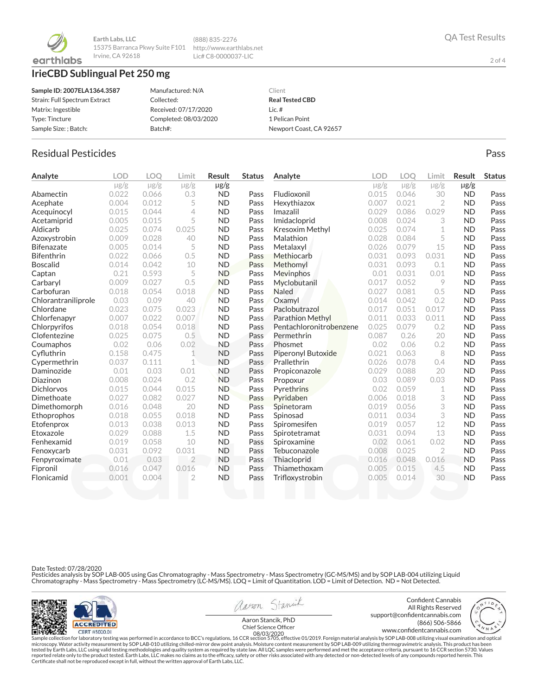

**Earth Labs, LLC** 15375 Barranca Pkwy Suite F101 http://www.earthlabs.net Irvine, CA 92618

# **IrieCBD Sublingual Pet 250 mg**

| Sample ID: 2007ELA1364.3587   | Manufactured: N/A     | Client                  |
|-------------------------------|-----------------------|-------------------------|
| Strain: Full Spectrum Extract | Collected:            | <b>Real Tested CBD</b>  |
| Matrix: Ingestible            | Received: 07/17/2020  | Lic. $#$                |
| Type: Tincture                | Completed: 08/03/2020 | 1 Pelican Point         |
| Sample Size: ; Batch:         | Batch#:               | Newport Coast, CA 92657 |

(888) 835-2276 Lic# C8-0000037-LIC

## Residual Pesticides **Passage Community Community Community** Pass Pass Pass

| Analyte             | <b>LOD</b> | <b>LOO</b> | Limit          | Result    | <b>Status</b> | Analyte                   | <b>LOD</b> | <b>LOO</b> | Limit          | Result    | <b>Status</b> |
|---------------------|------------|------------|----------------|-----------|---------------|---------------------------|------------|------------|----------------|-----------|---------------|
|                     | $\mu$ g/g  | $\mu$ g/g  | $\mu$ g/g      | µg/g      |               |                           | $\mu$ g/g  | $\mu$ g/g  | $\mu$ g/g      | $\mu$ g/g |               |
| Abamectin           | 0.022      | 0.066      | 0.3            | <b>ND</b> | Pass          | Fludioxonil               | 0.015      | 0.046      | 30             | <b>ND</b> | Pass          |
| Acephate            | 0.004      | 0.012      | 5              | <b>ND</b> | Pass          | Hexythiazox               | 0.007      | 0.021      | $\overline{2}$ | <b>ND</b> | Pass          |
| Acequinocyl         | 0.015      | 0.044      | 4              | <b>ND</b> | Pass          | Imazalil                  | 0.029      | 0.086      | 0.029          | <b>ND</b> | Pass          |
| Acetamiprid         | 0.005      | 0.015      | 5              | <b>ND</b> | Pass          | Imidacloprid              | 0.008      | 0.024      | 3              | <b>ND</b> | Pass          |
| Aldicarb            | 0.025      | 0.074      | 0.025          | <b>ND</b> | Pass          | Kresoxim Methyl           | 0.025      | 0.074      | 1              | <b>ND</b> | Pass          |
| Azoxystrobin        | 0.009      | 0.028      | 40             | <b>ND</b> | Pass          | Malathion                 | 0.028      | 0.084      | 5              | <b>ND</b> | Pass          |
| <b>Bifenazate</b>   | 0.005      | 0.014      | 5              | <b>ND</b> | Pass          | Metalaxyl                 | 0.026      | 0.079      | 15             | <b>ND</b> | Pass          |
| <b>Bifenthrin</b>   | 0.022      | 0.066      | 0.5            | <b>ND</b> | Pass          | Methiocarb                | 0.031      | 0.093      | 0.031          | <b>ND</b> | Pass          |
| <b>Boscalid</b>     | 0.014      | 0.042      | 10             | <b>ND</b> | Pass          | Methomyl                  | 0.031      | 0.093      | 0.1            | <b>ND</b> | Pass          |
| Captan              | 0.21       | 0.593      | 5              | <b>ND</b> | Pass          | Mevinphos                 | 0.01       | 0.031      | 0.01           | <b>ND</b> | Pass          |
| Carbaryl            | 0.009      | 0.027      | 0.5            | <b>ND</b> | Pass          | Myclobutanil              | 0.017      | 0.052      | 9              | <b>ND</b> | Pass          |
| Carbofuran          | 0.018      | 0.054      | 0.018          | <b>ND</b> | Pass          | <b>Naled</b>              | 0.027      | 0.081      | 0.5            | <b>ND</b> | Pass          |
| Chlorantraniliprole | 0.03       | 0.09       | 40             | <b>ND</b> | Pass          | Oxamvl                    | 0.014      | 0.042      | 0.2            | <b>ND</b> | Pass          |
| Chlordane           | 0.023      | 0.075      | 0.023          | <b>ND</b> | Pass          | Paclobutrazol             | 0.017      | 0.051      | 0.017          | <b>ND</b> | Pass          |
| Chlorfenapyr        | 0.007      | 0.022      | 0.007          | <b>ND</b> | Pass          | <b>Parathion Methyl</b>   | 0.011      | 0.033      | 0.011          | <b>ND</b> | Pass          |
| Chlorpyrifos        | 0.018      | 0.054      | 0.018          | <b>ND</b> | Pass          | Pentachloronitrobenzene   | 0.025      | 0.079      | 0.2            | <b>ND</b> | Pass          |
| Clofentezine        | 0.025      | 0.075      | 0.5            | <b>ND</b> | Pass          | Permethrin                | 0.087      | 0.26       | 20             | <b>ND</b> | Pass          |
| Coumaphos           | 0.02       | 0.06       | 0.02           | <b>ND</b> | Pass          | Phosmet                   | 0.02       | 0.06       | 0.2            | <b>ND</b> | Pass          |
| Cyfluthrin          | 0.158      | 0.475      | 1              | <b>ND</b> | Pass          | <b>Piperonyl Butoxide</b> | 0.021      | 0.063      | 8              | <b>ND</b> | Pass          |
| Cypermethrin        | 0.037      | 0.111      | 1              | <b>ND</b> | Pass          | Prallethrin               | 0.026      | 0.078      | 0.4            | <b>ND</b> | Pass          |
| Daminozide          | 0.01       | 0.03       | 0.01           | <b>ND</b> | Pass          | Propiconazole             | 0.029      | 0.088      | 20             | <b>ND</b> | Pass          |
| Diazinon            | 0.008      | 0.024      | 0.2            | <b>ND</b> | Pass          | Propoxur                  | 0.03       | 0.089      | 0.03           | <b>ND</b> | Pass          |
| <b>Dichlorvos</b>   | 0.015      | 0.044      | 0.015          | <b>ND</b> | Pass          | Pyrethrins                | 0.02       | 0.059      | 1              | <b>ND</b> | Pass          |
| Dimethoate          | 0.027      | 0.082      | 0.027          | <b>ND</b> | Pass          | Pyridaben                 | 0.006      | 0.018      | 3              | <b>ND</b> | Pass          |
| Dimethomorph        | 0.016      | 0.048      | 20             | <b>ND</b> | Pass          | Spinetoram                | 0.019      | 0.056      | 3              | <b>ND</b> | Pass          |
| Ethoprophos         | 0.018      | 0.055      | 0.018          | <b>ND</b> | Pass          | Spinosad                  | 0.011      | 0.034      | 3              | <b>ND</b> | Pass          |
| Etofenprox          | 0.013      | 0.038      | 0.013          | <b>ND</b> | Pass          | Spiromesifen              | 0.019      | 0.057      | 12             | <b>ND</b> | Pass          |
| Etoxazole           | 0.029      | 0.088      | 1.5            | <b>ND</b> | Pass          | Spirotetramat             | 0.031      | 0.094      | 13             | <b>ND</b> | Pass          |
| Fenhexamid          | 0.019      | 0.058      | 10             | <b>ND</b> | Pass          | Spiroxamine               | 0.02       | 0.061      | 0.02           | <b>ND</b> | Pass          |
| Fenoxycarb          | 0.031      | 0.092      | 0.031          | <b>ND</b> | Pass          | Tebuconazole              | 0.008      | 0.025      | $\overline{2}$ | <b>ND</b> | Pass          |
| Fenpyroximate       | 0.01       | 0.03       | $\overline{2}$ | <b>ND</b> | Pass          | Thiacloprid               | 0.016      | 0.048      | 0.016          | <b>ND</b> | Pass          |
| Fipronil            | 0.016      | 0.047      | 0.016          | <b>ND</b> | Pass          | Thiamethoxam              | 0.005      | 0.015      | 4.5            | <b>ND</b> | Pass          |
| Flonicamid          | 0.001      | 0.004      | $\overline{2}$ | <b>ND</b> | Pass          | Trifloxystrobin           | 0.005      | 0.014      | 30             | <b>ND</b> | Pass          |
|                     |            |            |                |           |               |                           |            |            |                |           |               |

Date Tested: 07/28/2020

Pesticides analysis by SOP LAB-005 using Gas Chromatography - Mass Spectrometry - Mass Spectrometry (GC-MS/MS) and by SOP LAB-004 utilizing Liquid<br>Chromatography - Mass Spectrometry - Mass Spectrometry (LC-MS/MS). LOQ = Li



```
aaron Stanick
```
Confident Cannabis All Rights Reserved support@confidentcannabis.com (866) 506-5866

QA Test Results

2 of 4

www.condentcannabis.com 08/03/2020Aaron Stancik, PhD<br>Chief Science Officer

Sample collection for laboratory testing was performed in accordance to BCC's regulations, 16 CCR section 5705, effective 01/2019. Foreign material analysis by SOP LAB-008 utilizing visual examination and optical fissure o

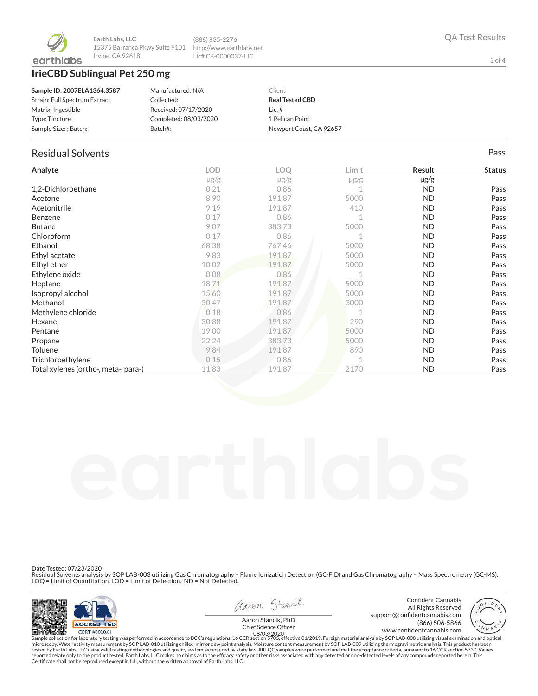

#### **IrieCBD Sublingual Pet 250 mg**

| Sample ID: 2007ELA1364.3587   | Manufactured: N/A     | Client                  |
|-------------------------------|-----------------------|-------------------------|
| Strain: Full Spectrum Extract | Collected:            | <b>Real Tested CBD</b>  |
| Matrix: Ingestible            | Received: 07/17/2020  | Lic. $#$                |
| Type: Tincture                | Completed: 08/03/2020 | 1 Pelican Point         |
| Sample Size: ; Batch:         | Batch#:               | Newport Coast, CA 92657 |

(888) 835-2276 http://www.earthlabs.net Lic# C8-0000037-LIC

#### Residual Solvents Pass

| Analyte                              | <b>LOD</b> | <b>LOO</b> | Limit     | Result    | <b>Status</b> |
|--------------------------------------|------------|------------|-----------|-----------|---------------|
|                                      | $\mu$ g/g  | $\mu$ g/g  | $\mu$ g/g | $\mu$ g/g |               |
| 1,2-Dichloroethane                   | 0.21       | 0.86       |           | ND.       | Pass          |
| Acetone                              | 8.90       | 191.87     | 5000      | <b>ND</b> | Pass          |
| Acetonitrile                         | 9.19       | 191.87     | 410       | <b>ND</b> | Pass          |
| Benzene                              | 0.17       | 0.86       |           | ND.       | Pass          |
| <b>Butane</b>                        | 9.07       | 383.73     | 5000      | ND.       | Pass          |
| Chloroform                           | 0.17       | 0.86       |           | ND.       | Pass          |
| Ethanol                              | 68.38      | 767.46     | 5000      | ND.       | Pass          |
| Ethyl acetate                        | 9.83       | 191.87     | 5000      | ND.       | Pass          |
| Ethyl ether                          | 10.02      | 191.87     | 5000      | ND.       | Pass          |
| Ethylene oxide                       | 0.08       | 0.86       |           | ND.       | Pass          |
| Heptane                              | 18.71      | 191.87     | 5000      | ND.       | Pass          |
| Isopropyl alcohol                    | 15.60      | 191.87     | 5000      | ND.       | Pass          |
| Methanol                             | 30.47      | 191.87     | 3000      | ND.       | Pass          |
| Methylene chloride                   | 0.18       | 0.86       |           | <b>ND</b> | Pass          |
| Hexane                               | 30.88      | 191.87     | 290       | ND.       | Pass          |
| Pentane                              | 19.00      | 191.87     | 5000      | <b>ND</b> | Pass          |
| Propane                              | 22.24      | 383.73     | 5000      | ND.       | Pass          |
| Toluene                              | 9.84       | 191.87     | 890       | ND.       | Pass          |
| Trichloroethylene                    | 0.15       | 0.86       |           | ND.       | Pass          |
| Total xylenes (ortho-, meta-, para-) | 11.83      | 191.87     | 2170      | <b>ND</b> | Pass          |

Date Tested: 07/23/2020

Residual Solvents analysis by SOP LAB-003 utilizing Gas Chromatography – Flame Ionization Detection (GC-FID) and Gas Chromatography – Mass Spectrometry (GC-MS).<br>LOQ = Limit of Quantitation. LOD = Limit of Detection. ND = N



aaron Stanick

Confident Cannabis All Rights Reserved support@confidentcannabis.com<br>666-5866 (866) 506-5866 (866) 506-5866

3 of 4

www.condentcannabis.com 08/03/2020Aaron Stancik, PhD<br>Chief Science Officer

Sample collection for laboratory testing was performed in accordance to BCC's regulations, 16 CCR section 5705, effective 01/2019. Foreign material analysis by SOP LAB-008 utilizing visual examination and optical fissure o